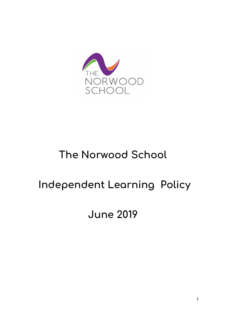

# **The Norwood School**

# **Independent Learning Policy**

# **June 2019**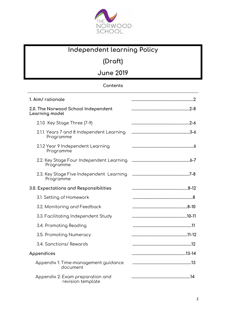

# **Independent learning Policy**

**(Draft)**

**June 2019**

# **Contents**

| 1. Aim/ rationale                                      |  |
|--------------------------------------------------------|--|
| 2.0. The Norwood School Independent<br>Learning model  |  |
| 2.1.0 Key Stage Three (7-9)                            |  |
| 2.1.1. Years 7 and 8 Independent Learning<br>Programme |  |
| 2.1.2 Year 9 Independent Learning<br>Programme         |  |
| 2.2. Key Stage Four Independent Learning<br>Programme  |  |
| 2.3. Key Stage Five Independent Learning<br>Programme  |  |
| 3.0. Expectations and Responsibilities                 |  |
| 3.1. Setting of Homework                               |  |
| 3.2. Monitoring and Feedback                           |  |
| 3.3. Facilitating Independent Study                    |  |
| 3.4. Promoting Reading                                 |  |
| 3.5. Promoting Numeracy                                |  |
| 3.4. Sanctions/ Rewards                                |  |
| Appendices                                             |  |
| Appendix 1: Time-management guidance<br>document       |  |
| Appendix 2: Exam preparation and<br>revision template  |  |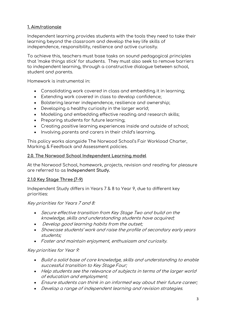## **1. Aim/rationale**

Independent learning provides students with the tools they need to take their learning beyond the classroom and develop the key life skills of independence, responsibility, resilience and active curiosity.

To achieve this, teachers must base tasks on sound pedagogical principles that 'make things stick' for students. They must also seek to remove barriers to independent learning, through a constructive dialogue between school, student and parents.

Homework is instrumental in:

- Consolidating work covered in class and embedding it in learning;
- Extending work covered in class to develop confidence;
- Bolstering learner independence, resilience and ownership;
- Developing a healthy curiosity in the larger world;
- Modelling and embedding effective reading and research skills;
- Preparing students for future learning:
- Creating positive learning experiences inside and outside of school;
- Involving parents and carers in their child's learning.

This policy works alongside The Norwood School's Fair Workload Charter, Marking & Feedback and Assessment policies.

#### **2.0. The Norwood School Independent Learning model**

At the Norwood School, homework, projects, revision and reading for pleasure are referred to as **Independent Study.** 

#### **2.1.0 Key Stage Three (7-9)**

Independent Study differs in Years 7 & 8 to Year 9, due to different key priorities:

#### Key priorities for Years 7 and 8:

- Secure effective transition from Key Stage Two and build on the knowledge, skills and understanding students have acquired;
- Develop good learning habits from the outset;
- Showcase students' work and raise the profile of secondary early years students;
- Foster and maintain enjoyment, enthusiasm and curiosity.

#### Key priorities for Year 9:

- Build a solid base of core knowledge, skills and understanding to enable successful transition to Key Stage Four;
- Help students see the relevance of subjects in terms of the larger world of education and employment;
- Ensure students can think in an informed way about their future career;
- Develop a range of independent learning and revision strategies.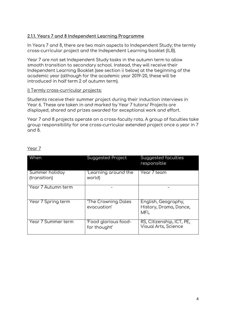### **2.1.1. Years 7 and 8 Independent Learning Programme**

In Years 7 and 8, there are two main aspects to Independent Study; the termly cross-curricular project and the Independent Learning booklet (ILB).

Year 7 are not set Independent Study tasks in the autumn term to allow smooth transition to secondary school. Instead, they will receive their Independent Learning Booklet (see section ii below) at the beginning of the academic year (although for the academic year 2019-20, these will be introduced in half term 2 of autumn term).

#### i) Termly cross-curricular projects:

Students receive their summer project during their induction interviews in Year 6. These are taken in and marked by Year 7 tutors/ Projects are displayed, shared and prizes awarded for exceptional work and effort.

Year 7 and 8 projects operate on a cross-faculty rota. A group of faculties take group responsibility for one cross-curricular extended project once a year in 7 and 8.

| When                           | Suggested Project                    | Suggested faculties<br>responsible                          |
|--------------------------------|--------------------------------------|-------------------------------------------------------------|
| Summer holiday<br>(transition) | 'Learning around the<br>world)       | Year 7 team                                                 |
| Year 7 Autumn term             |                                      |                                                             |
| Year 7 Spring term             | 'The Crowning Dales<br>evacuation'   | English, Geography,<br>History, Drama, Dance,<br><b>MFL</b> |
| Year 7 Summer term             | 'Food glorious food-<br>for thought' | RS, Citizenship, ICT, PE,<br><b>Visual Arts, Science</b>    |

#### Year 7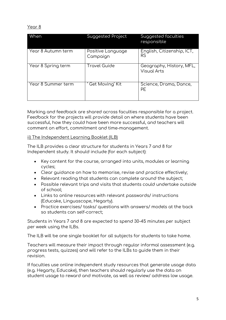#### Year 8

| When               | Suggested Project             | Suggested faculties<br>responsible             |
|--------------------|-------------------------------|------------------------------------------------|
| Year 8 Autumn term | Positive Language<br>Campaign | English, Citizenship, ICT,<br>RS               |
| Year 8 Spring term | <b>Travel Guide</b>           | Geography, History, MFL,<br><b>Visual Arts</b> |
| Year 8 Summer term | Get Moving' Kit               | Science, Drama, Dance,<br>PE                   |

Marking and feedback are shared across faculties responsible for a project. Feedback for the projects will provide detail on where students have been successful, how they could have been more successful, and teachers will comment on effort, commitment and time-management.

#### ii) The Independent Learning Booklet (ILB)

The ILB provides a clear structure for students in Years 7 and 8 for Independent study. It should include (for each subject):

- Key content for the course, arranged into units, modules or learning cycles;
- Clear guidance on how to memorise, revise and practice effectively;
- Relevant reading that students can complete around the subject;
- Possible relevant trips and visits that students could undertake outside of school;
- Links to online resources with relevant passwords/ instructions (Educake, Linguascope, Hegarty).
- Practice exercises/ tasks/ questions with answers/ models at the back so students can self-correct;

Students in Years 7 and 8 are expected to spend 30-45 minutes per subject per week using the ILBs.

The ILB will be one single booklet for all subjects for students to take home.

Teachers will measure their impact through regular informal assessment (e.g. progress tests, quizzes) and will refer to the ILBs to guide them in their revision.

If faculties use online independent study resources that generate usage data (e.g. Hegarty, Educake), then teachers should regularly use the data on student usage to reward and motivate, as well as review/ address low usage.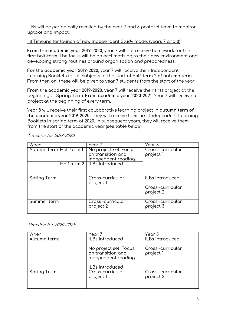ILBs will be periodically recalled by the Year 7 and 8 pastoral team to monitor uptake and impact.

#### iii) Timeline for launch of new Independent Study model (years 7 and 8)

**From the academic year 2019-2020**, year 7 will not receive homework for the first half-term. The focus will be on acclimatising to their new environment and developing strong routines around organisation and preparedness.

**For the academic year 2019-2020**, year 7 will receive their Independent Learning Booklets for all subjects at the start of **half-term 2 of autumn term**. From then on, these will be given to year 7 students from the start of the year.

**From the academic year 2019-2020**, year 7 will receive their first project at the beginning of Spring Term. **From academic year 2020-2021**, Year 7 will receive a project at the beginning of every term.

Year 8 will receive their first collaborative learning project in **autumn term of the academic year 2019-2020**. They will receive their first Independent Learning Booklets in spring term of 2020. In subsequent years, they will receive them from the start of the academic year (see table below):

| When                     | Year 7                                                             | Year 8                        |
|--------------------------|--------------------------------------------------------------------|-------------------------------|
| Autumn term: Half term 1 | No project set. Focus<br>on transition and<br>independent reading. | Cross-curricular<br>project 1 |
|                          | Half term 2   ILBs introduced                                      |                               |
| Spring Term              | Cross-curricular<br>project 1                                      | ILBs introduced               |
|                          |                                                                    | Cross-curricular<br>project 2 |
| Summer term              | Cross-curricular<br>project 2                                      | Cross-curricular<br>project 3 |

Timeline for 2019-2020:

#### Timeline for 2020-2021:

| When         | Year 7                                                                                | Year 8                        |
|--------------|---------------------------------------------------------------------------------------|-------------------------------|
| Autumn term: | <b>ILBs introduced</b>                                                                | ILBs introduced               |
|              | No project set. Focus<br>on transition and<br>independent reading.<br>ILBs introduced | Cross-curricular<br>project 1 |
| Spring Term  | Cross-curricular<br>project 1                                                         | Cross-curricular<br>project 2 |
|              |                                                                                       |                               |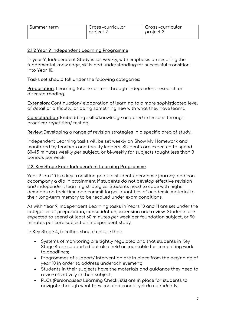| Summer term | Cross-curricular<br>project 2 | Cross-curricular<br>project 3 |
|-------------|-------------------------------|-------------------------------|
|             |                               |                               |

#### **2.1.2 Year 9 Independent Learning Programme**

In year 9, Independent Study is set weekly, with emphasis on securing the fundamental knowledge, skills and understanding for successful transition into Year 10.

Tasks set should fall under the following categories:

**Preparation:** Learning future content through independent research or directed reading.

**Extension:** Continuation/ elaboration of learning to a more sophisticated level of detail or difficulty, or doing something **new** with what they have learnt.

**Consolidation:** Embedding skills/knowledge acquired in lessons through practice/ repetition/ testing.

**Review:** Developing a range of revision strategies in a specific area of study.

Independent Learning tasks will be set weekly on Show My Homework and monitored by teachers and faculty leaders. Students are expected to spend 30-45 minutes weekly per subject, or bi-weekly for subjects taught less than 3 periods per week.

#### **2.2. Key Stage Four Independent Learning Programme**

Year 9 into 10 is a key transition point in students' academic journey, and can accompany a dip in attainment if students do not develop effective revision and independent learning strategies. Students need to cope with higher demands on their time and commit larger quantities of academic material to their long-term memory to be recalled under exam conditions.

As with Year 9, Independent Learning tasks in Years 10 and 11 are set under the categories of **preparation, consolidation, extension** and **review**. Students are expected to spend at least 60 minutes per week per foundation subject, or 90 minutes per core subject on independent study.

In Key Stage 4, faculties should ensure that:

- Systems of monitoring are tightly regulated and that students in Key Stage 4 are supported but also held accountable for completing work to deadlines;
- Programmes of support/ intervention are in place from the beginning of year 10 in order to address underachievement;
- Students in their subjects have the materials and guidance they need to revise effectively in their subject;
- PLCs (Personalised Learning Checklists) are in place for students to navigate through what they can and cannot yet do confidently;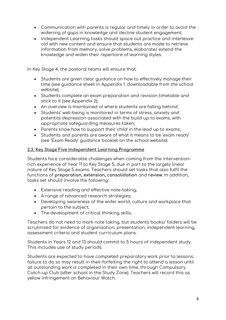- Communication with parents is regular and timely in order to avoid the widening of gaps in knowledge and decline student engagement;
- Independent Learning tasks should space out practice and interleave old with new content and ensure that students are made to retrieve information from memory, solve problems, elaborate/ extend the knowledge and widen their repertoire of learning styles.

In Key Stage 4, the pastoral teams will ensure that:

- Students are given clear guidance on how to effectively manage their time (see guidance sheet in Appendix 1. downloadable from the school website);
- Students complete an exam preparation and revision timetable and stick to it (see Appendix 2);
- An overview is maintained of where students are falling behind;
- Students' well-being is monitored in terms of stress, anxiety and potential depression associated with the build up to exams, with appropriate safeguarding measures taken;
- Parents know how to support their child in the lead up to exams;
- Students and parents are aware of what it means to be 'exam ready' (see 'Exam Ready' guidance booklet on the school website).

### **2.3. Key Stage Five Independent Learning Programme**

Students face considerable challenges when coming from the interventionrich experience of Year 11 to Key Stage 5, due in part to the largely linear nature of Key Stage 5 exams. Teachers should set tasks that also fulfil the functions of **preparation, extension, consolidation** and **review**. In addition, tasks set should involve the following:

- Extensive reading and effective note-taking;
- A range of advanced research strategies;
- Developing awareness of the wider world, culture and workplace that pertain to the subject;
- The development of critical thinking skills.

Teachers do not need to mark note taking, but students books/ folders will be scrutinised for evidence of organisation, presentation, independent learning, assessment criteria and student curriculum plans.

Students in Years 12 and 13 should commit to 5 hours of independent study. This includes use of study periods.

Students are expected to have completed preparatory work prior to lessons; failure to do so may result in their forfeiting the right to attend a lesson until all outstanding work is completed in their own time, through Compulsory Catch-up Club (after school in the Study Zone). Teachers will record this as yellow infringement on Behaviour Watch.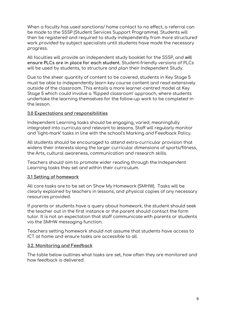When a faculty has used sanctions/ home contact to no effect, a referral can be made to the SSSP (Student Services Support Programme). Students will then be registered and required to study independently from more structured work provided by subject specialists until students have made the necessary progress.

All faculties will provide an independent study booklet for the SSSP, and **will ensure PLCs are in place for each student**. Student-friendly versions of PLCs will be used by students, to structure and plan their Independent Study.

Due to the sheer quantity of content to be covered, students in Key Stage 5 must be able to independently learn key course content and read extensively outside of the classroom. This entails a more learner-centred model at Key Stage 5 which could involve a 'flipped classroom' approach, where students undertake the learning themselves for the follow-up work to be completed in the lesson.

#### **3.0 Expectations and responsibilities**

Independent Learning tasks should be engaging, varied, meaningfully integrated into curricula and relevant to lessons. Staff will regularly monitor and 'light-mark' tasks in line with the school's Marking and Feedback Policy.

All students should be encouraged to attend extra-curricular provision that widens their interests along the larger curricular dimensions of sports/fitness, the Arts, cultural awareness, communication and research skills.

Teachers should aim to promote wider reading through the Independent Learning tasks they set and within their curriculum.

#### **3.1 Setting of homework**

All core tasks are to be set on Show My Homework (SMHW). Tasks will be clearly explained by teachers in lessons, and physical copies of any necessary resources provided.

If parents or students have a query about homework, the student should seek the teacher out in the first instance or the parent should contact the form tutor. It is not an expectation that staff communicate with parents or students via the SMHW messaging function.

Teachers setting homework should not assume that students have access to ICT at home and ensure tasks are accessible to all.

#### **3.2. Monitoring and Feedback**

The table below outlines what tasks are set, how often they are monitored and how feedback is delivered.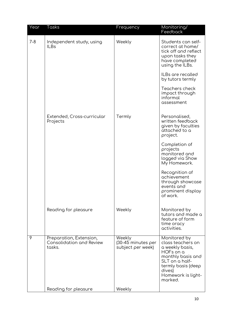| Year    | Tasks                                                         | Frequency                                         | Monitoring/<br>Feedback                                                                                                                                                   |
|---------|---------------------------------------------------------------|---------------------------------------------------|---------------------------------------------------------------------------------------------------------------------------------------------------------------------------|
| $7 - 8$ | Independent study, using<br><b>ILBs</b>                       | Weekly                                            | Students can self-<br>correct at home/<br>tick off and reflect<br>upon tasks they<br>have completed<br>using the ILBs.                                                    |
|         |                                                               |                                                   | ILBs are recalled<br>by tutors termly                                                                                                                                     |
|         |                                                               |                                                   | Teachers check<br>impact through<br>informal<br>assessment                                                                                                                |
|         | Extended, Cross-curricular<br>Projects                        | Termly                                            | Personalised,<br>written feedback<br>given by faculties<br>attached to a<br>project.                                                                                      |
|         |                                                               |                                                   | Completion of<br>projects<br>monitored and<br>logged via Show<br>My Homework.                                                                                             |
|         |                                                               |                                                   | Recognition of<br>achievement<br>through showcase<br>events and<br>prominent display<br>of work.                                                                          |
|         | Reading for pleasure                                          | Weekly                                            | Monitored by<br>tutors and made a<br>feature of form<br>time oracy<br>activities.                                                                                         |
| 9       | Preparation, Extension,<br>Consolidation and Review<br>tasks. | Weekly<br>(30-45 minutes per<br>subject per week) | Monitored by<br>class teachers on<br>a weekly basis,<br>HOFs on a<br>monthly basis and<br>SLT on a half-<br>termly basis (deep<br>dives)<br>Homework is light-<br>marked. |
|         | Reading for pleasure                                          | Weekly                                            |                                                                                                                                                                           |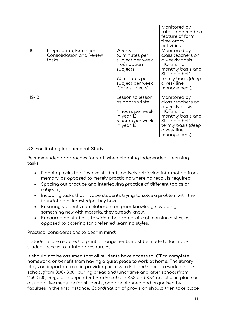|           |                                                                      |                                                                                                                                   | Monitored by<br>tutors and made a<br>feature of form<br>time oracy<br>activities.                                                                            |
|-----------|----------------------------------------------------------------------|-----------------------------------------------------------------------------------------------------------------------------------|--------------------------------------------------------------------------------------------------------------------------------------------------------------|
| $10 - 11$ | Preparation, Extension,<br><b>Consolidation and Review</b><br>tasks. | Weekly<br>60 minutes per<br>subject per week<br>(Foundation<br>subjects)<br>90 minutes per<br>subject per week<br>(Core subjects) | Monitored by<br>class teachers on<br>a weekly basis,<br>HOFs on a<br>monthly basis and<br>SLT on a half-<br>termly basis (deep<br>dives/line<br>management). |
| $12 - 13$ |                                                                      | Lesson to lesson<br>as appropriate.<br>4 hours per week<br>in year 12<br>5 hours per week<br>in year 13                           | Monitored by<br>class teachers on<br>a weekly basis,<br>HOFs on a<br>monthly basis and<br>SLT on a half-<br>termly basis (deep<br>dives/line<br>management). |

### **3.3. Facilitating Independent Study.**

Recommended approaches for staff when planning Independent Learning tasks:

- Planning tasks that involve students actively retrieving information from memory, as opposed to merely practicing where no recall is required;
- Spacing out practice and interleaving practice of different topics or subjects;
- Including tasks that involve students trying to solve a problem with the foundation of knowledge they have;
- Ensuring students can elaborate on prior knowledge by doing something new with material they already know;
- Encouraging students to widen their repertoire of learning styles, as opposed to catering for preferred learning styles.

Practical considerations to bear in mind:

If students are required to print, arrangements must be made to facilitate student access to printers/ resources.

**It should not be assumed that all students have access to ICT to complete homework, or benefit from having a quiet place to work at home**. The library plays an important role in providing access to ICT and space to work, before school (from 8:00- 8:30), during break and lunchtime and after school (from 2:50-5:00). Regular Independent Study clubs in KS3 and KS4 are also in place as a supportive measure for students, and are planned and organised by faculties in the first instance. Coordination of provision should then take place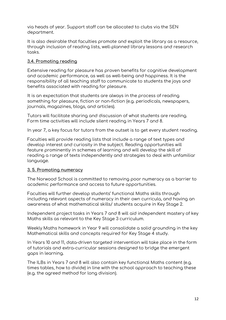via heads of year. Support staff can be allocated to clubs via the SEN department.

It is also desirable that faculties promote and exploit the library as a resource, through inclusion of reading lists, well-planned library lessons and research tasks.

#### **3.4. Promoting reading**

Extensive reading for pleasure has proven benefits for cognitive development and academic performance, as well as well-being and happiness. It is the responsibility of all teaching staff to communicate to students the joys and benefits associated with reading for pleasure.

It is an expectation that students are always in the process of reading something for pleasure, fiction or non-fiction (e.g. periodicals, newspapers, journals, magazines, blogs, and articles).

Tutors will facilitate sharing and discussion of what students are reading. Form time activities will include silent reading in Years 7 and 8.

In year 7, a key focus for tutors from the outset is to get every student reading.

Faculties will provide reading lists that include a range of text types and develop interest and curiosity in the subject. Reading opportunities will feature prominently in schemes of learning and will develop the skill of reading a range of texts independently and strategies to deal with unfamiliar language.

#### **3. 5. Promoting numeracy**

The Norwood School is committed to removing poor numeracy as a barrier to academic performance and access to future opportunities.

Faculties will further develop students' functional Maths skills through including relevant aspects of numeracy in their own curricula, and having an awareness of what mathematical skills/ students acquire in Key Stage 2.

Independent project tasks in Years 7 and 8 will aid independent mastery of key Maths skills as relevant to the Key Stage 3 curriculum.

Weekly Maths homework in Year 9 will consolidate a solid grounding in the key Mathematical skills and concepts required for Key Stage 4 study.

In Years 10 and 11, data-driven targeted intervention will take place in the form of tutorials and extra-curricular sessions designed to bridge the emergent gaps in learning.

The ILBs in Years 7 and 8 will also contain key functional Maths content (e.g. times tables, how to divide) in line with the school approach to teaching these (e.g. the agreed method for long division).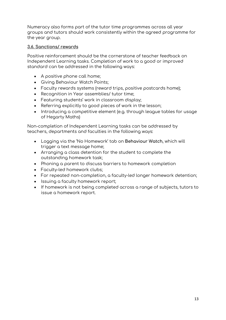Numeracy also forms part of the tutor time programmes across all year groups and tutors should work consistently within the agreed programme for the year group.

#### **3.6. Sanctions/ rewards**

Positive reinforcement should be the cornerstone of teacher feedback on Independent Learning tasks. Completion of work to a good or improved standard can be addressed in the following ways:

- A positive phone call home;
- Giving Behaviour Watch Points;
- Faculty rewards systems (reward trips, positive postcards home);
- Recognition in Year assemblies/ tutor time;
- Featuring students' work in classroom display;
- Referring explicitly to good pieces of work in the lesson;
- Introducing a competitive element (e.g. through league tables for usage of Hegarty Maths)

Non-completion of Independent Learning tasks can be addressed by teachers, departments and faculties in the following ways:

- Logging via the 'No Homework' tab on **Behaviour Watch**, which will trigger a text message home;
- Arranging a class detention for the student to complete the outstanding homework task;
- Phoning a parent to discuss barriers to homework completion
- Faculty-led homework clubs;
- For repeated non-completion, a faculty-led longer homework detention;
- Issuing a faculty homework report;
- If homework is not being completed across a range of subjects, tutors to issue a homework report.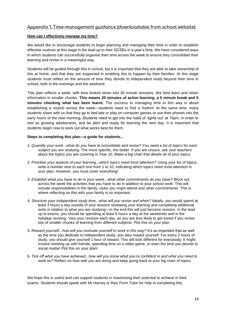#### **Appendix 1: Time-management guidance (downloadable from school website)**

#### **How can I effectively manage my time?**

We would like to encourage students to begin planning and managing their time in order to establish effective routines at this stage in the lead up to their GCSEs in a year's time. We have considered ways in which students can successfully organise their time across the week to ensure they consolidate their learning and revise in a meaningful way.

Students will be guided through this in school, but it is important that they are able to take ownership of this at home, and that they are supported in enabling this to happen by their families. At this stage students must reflect on the amount of time they devote to independent study beyond their time in school, both in the evenings and the weekend.

This plan reflects a week, with time broken down into 30 minute sessions. We best learn and retain information in smaller chunks. **This means 20 minutes of active learning, a 5 minute break and 5 minutes checking what has been learnt.** The success to managing time in this way is about establishing a routine across the week—students need to find a rhythm! At the same time, many students share with us that they go to bed late or play on computer games or use their phones into the early hours of the next morning. Students need to get into the habit of 'lights out' at 10pm, in order to rest as growing adolescents, and be alert and ready for learning the next day. It is important that students begin now to work out what works best for them.

#### **Steps to completing this plan—a guide for students...**

- 1. *Quantify your work...what do you have to consolidate and revise?* You need a list of topics for each subject you are studying. The more specific, the better. If you are unsure, ask your teachers about the topics you are covering in Year 10. Make a big chart that details all of your topics.
- 2. *Prioritise your aspects of your learning...which topics need most attention?* Using your list of topics, write a number next to each one from 1 to 10, indicating which topics need most attention in your plan. However, you must cover everything!
- 3. *Establish what you have to do in your week...what other commitments do you have?* Block out across the week the activities that you have to do in addition to your school work. This will include responsibilities in the family, clubs you might attend and other commitments. This is where reflecting on this with your family is so important.
- 4. *Structure your independent study time...what will you revise and when?* Ideally, you would spend at least 3 hours a day outside of your lessons reviewing your learning and completing additional work in relation to what you are studying—in the end this will just become revision. In the lead up to exams, you should be spending at least 6 hours a day at the weekends and in the holidays revising. Vary your revision each day, as you are less likely to get bored if you revise lots of smaller chunks of learning from different subjects. Plot this on your plan.
- 5. *Reward yourself...how will you motivate yourself to work in this way?* It's so important that as well as the time you dedicate to independent study, you also reward yourself. For every 2 hours of study, you should give yourself 1 hour of reward. This will look different for everybody; it might involve meeting up with friends, spending time on a video game, or even the time you devote to social media! Plot this on your plan!
- 6. *Tick off what you have achieved...how will you know what you're confident in and what you need to work on?* Reflect on how well you are doing and keep going back to your big chart of topics.

We hope this is useful and can support students in maximising their potential to achieve in their exams. Students should speak with Mr Harvey or their Form Tutor for help in completing this.